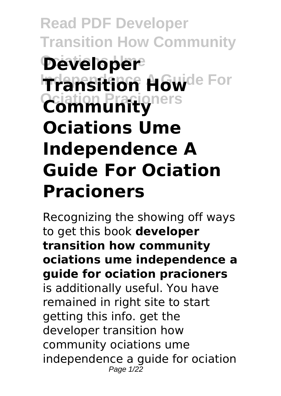# **Read PDF Developer Transition How Community Developer Transition Howde For Ociation Pracioners Community Ociations Ume Independence A Guide For Ociation Pracioners**

Recognizing the showing off ways to get this book **developer transition how community ociations ume independence a guide for ociation pracioners** is additionally useful. You have remained in right site to start getting this info. get the developer transition how community ociations ume independence a guide for ociation Page  $1/22$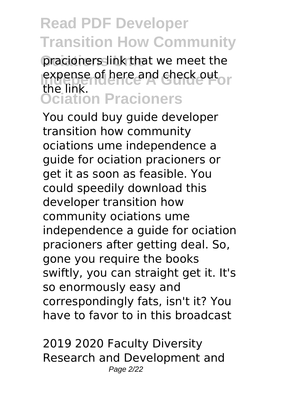**Ociations Ume** pracioners link that we meet the expense of here and check out or **Ociation Pracioners** the link.

You could buy guide developer transition how community ociations ume independence a guide for ociation pracioners or get it as soon as feasible. You could speedily download this developer transition how community ociations ume independence a guide for ociation pracioners after getting deal. So, gone you require the books swiftly, you can straight get it. It's so enormously easy and correspondingly fats, isn't it? You have to favor to in this broadcast

2019 2020 Faculty Diversity Research and Development and Page 2/22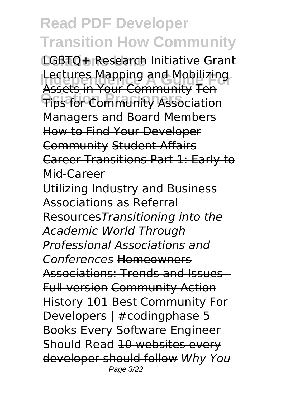**Ociations Ume** LGBTQ+ Research Initiative Grant **Lectures <del>Mapping and Mobilizing</del> Ociation Pracioners** Tips for Community Association Assets in Your Community Ten Managers and Board Members How to Find Your Developer Community Student Affairs Career Transitions Part 1: Early to Mid-Career

Utilizing Industry and Business Associations as Referral Resources*Transitioning into the Academic World Through Professional Associations and Conferences* Homeowners Associations: Trends and Issues - Full version Community Action **History 101 Best Community For** Developers | #codingphase 5 Books Every Software Engineer Should Read 10 websites every developer should follow *Why You* Page 3/22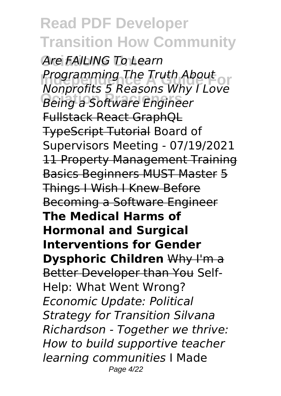**Ociations Ume** *Are FAILING To Learn Programming The Truth About*<br>*Nonnestis E Boosens Why Llove* **Ociation Pracioners** *Being a Software Engineer Nonprofits 5 Reasons Why I Love* Fullstack React GraphQL TypeScript Tutorial Board of Supervisors Meeting - 07/19/2021 11 Property Management Training Basics Beginners MUST Master 5 Things I Wish I Knew Before Becoming a Software Engineer **The Medical Harms of Hormonal and Surgical Interventions for Gender Dysphoric Children** Why I'm a Better Developer than You Self-Help: What Went Wrong? *Economic Update: Political Strategy for Transition Silvana Richardson - Together we thrive: How to build supportive teacher learning communities* I Made Page 4/22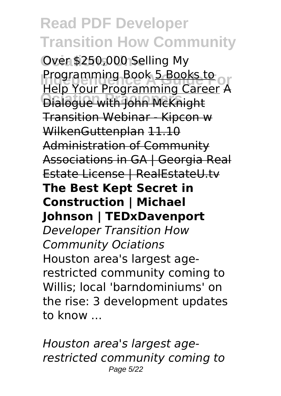**Ociations Ume** Over \$250,000 Selling My **Programming Book 5 Books to**<br>Help Your Programming Career A **Ociation Pracioners** Dialogue with John McKnight Help Your Programming Career A Transition Webinar - Kipcon w WilkenGuttenplan 11.10 Administration of Community Associations in GA | Georgia Real Estate License | RealEstateU.tv **The Best Kept Secret in Construction | Michael Johnson | TEDxDavenport** *Developer Transition How Community Ociations* Houston area's largest agerestricted community coming to Willis; local 'barndominiums' on the rise: 3 development updates to know ...

*Houston area's largest agerestricted community coming to* Page 5/22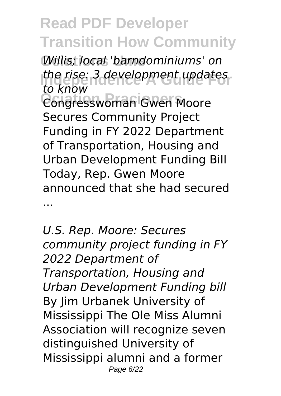**Ociations Ume** *Willis; local 'barndominiums' on Index Forment updates*<br>*the knows* **Ociation Pracioners** Congresswoman Gwen Moore *to know* Secures Community Project Funding in FY 2022 Department of Transportation, Housing and Urban Development Funding Bill Today, Rep. Gwen Moore announced that she had secured ...

*U.S. Rep. Moore: Secures community project funding in FY 2022 Department of Transportation, Housing and Urban Development Funding bill* By Jim Urbanek University of Mississippi The Ole Miss Alumni Association will recognize seven distinguished University of Mississippi alumni and a former Page 6/22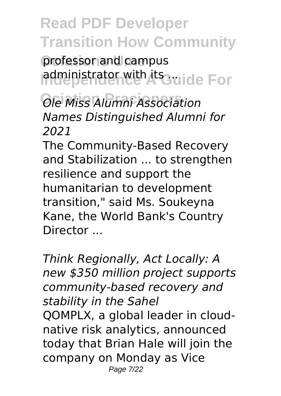professor and campus administrator with its auide For

**Ociation Pracioners** *Ole Miss Alumni Association Names Distinguished Alumni for 2021*

The Community-Based Recovery and Stabilization ... to strengthen resilience and support the humanitarian to development transition," said Ms. Soukeyna Kane, the World Bank's Country Director ...

*Think Regionally, Act Locally: A new \$350 million project supports community-based recovery and stability in the Sahel* QOMPLX, a global leader in cloudnative risk analytics, announced today that Brian Hale will join the company on Monday as Vice Page 7/22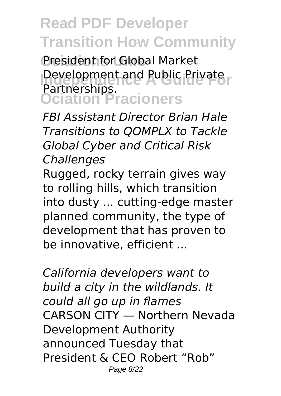President for Global Market Development and Public Private **Ociation Pracioners** Partnerships.

*FBI Assistant Director Brian Hale Transitions to QOMPLX to Tackle Global Cyber and Critical Risk Challenges*

Rugged, rocky terrain gives way to rolling hills, which transition into dusty ... cutting-edge master planned community, the type of development that has proven to be innovative, efficient ...

*California developers want to build a city in the wildlands. It could all go up in flames* CARSON CITY — Northern Nevada Development Authority announced Tuesday that President & CEO Robert "Rob" Page 8/22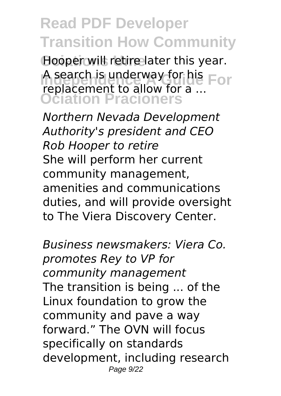**Ociations Ume** Hooper will retire later this year. A search is underway for his For **Ociation Pracioners** replacement to allow for a ...

*Northern Nevada Development Authority's president and CEO Rob Hooper to retire* She will perform her current community management, amenities and communications duties, and will provide oversight to The Viera Discovery Center.

*Business newsmakers: Viera Co. promotes Rey to VP for community management* The transition is being ... of the Linux foundation to grow the community and pave a way forward." The OVN will focus specifically on standards development, including research Page 9/22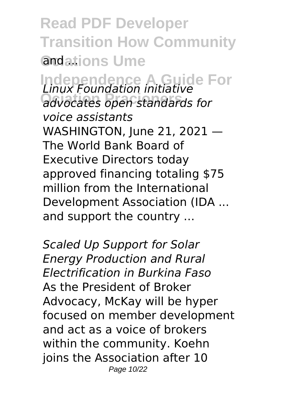**Read PDF Developer Transition How Community** and ations Ume

**Independence A Guide For** *Linux Foundation initiative* **Ociation Pracioners** *advocates open standards for voice assistants* WASHINGTON, June 21, 2021 — The World Bank Board of Executive Directors today approved financing totaling \$75 million from the International Development Association (IDA ... and support the country ...

*Scaled Up Support for Solar Energy Production and Rural Electrification in Burkina Faso* As the President of Broker Advocacy, McKay will be hyper focused on member development and act as a voice of brokers within the community. Koehn joins the Association after 10 Page 10/22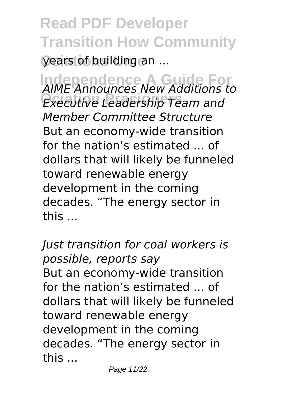**Read PDF Developer Transition How Community** years of building an ...

**Independence A Guide For** *AIME Announces New Additions to* **Ociation Pracioners** *Executive Leadership Team and Member Committee Structure* But an economy-wide transition for the nation's estimated ... of dollars that will likely be funneled toward renewable energy development in the coming decades. "The energy sector in this ...

*Just transition for coal workers is possible, reports say* But an economy-wide transition for the nation's estimated ... of dollars that will likely be funneled toward renewable energy development in the coming decades. "The energy sector in this ...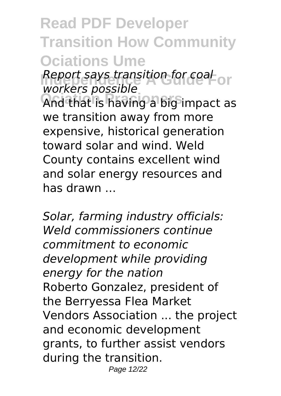## **Read PDF Developer Transition How Community Ociations Ume**

**Report says transition for coal**<br>warkare peccible *workers possible*

**Ociation Pracioners** And that is having a big impact as we transition away from more expensive, historical generation toward solar and wind. Weld County contains excellent wind and solar energy resources and has drawn ...

*Solar, farming industry officials: Weld commissioners continue commitment to economic development while providing energy for the nation* Roberto Gonzalez, president of the Berryessa Flea Market Vendors Association ... the project and economic development grants, to further assist vendors during the transition. Page 12/22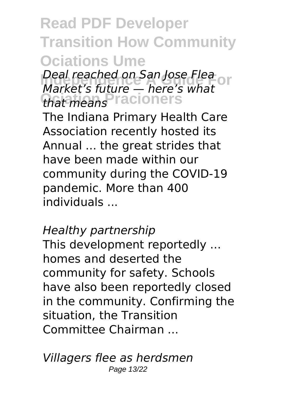## **Read PDF Developer Transition How Community Ociations Ume**

**Deal reached on San Jose Flea**<br>*Market's future* bere's what **Ociation Pracioners** *that means Market's future — here's what*

The Indiana Primary Health Care Association recently hosted its Annual ... the great strides that have been made within our community during the COVID-19 pandemic. More than 400 individuals ...

#### *Healthy partnership*

This development reportedly ... homes and deserted the community for safety. Schools have also been reportedly closed in the community. Confirming the situation, the Transition Committee Chairman ...

*Villagers flee as herdsmen* Page 13/22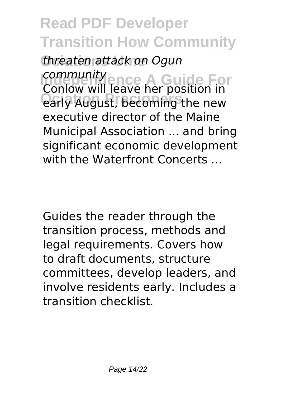**Ociations Ume** *threaten attack on Ogun* **Independence A Guide For** *community* **Ociation Pracioners** early August, becoming the new Conlow will leave her position in executive director of the Maine Municipal Association ... and bring significant economic development with the Waterfront Concerts ...

Guides the reader through the transition process, methods and legal requirements. Covers how to draft documents, structure committees, develop leaders, and involve residents early. Includes a transition checklist.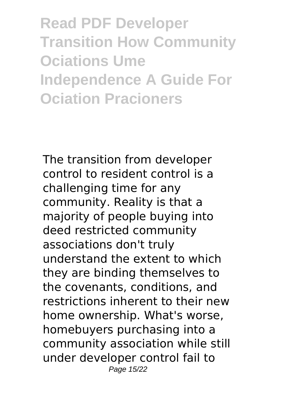**Read PDF Developer Transition How Community Ociations Ume Independence A Guide For Ociation Pracioners**

The transition from developer control to resident control is a challenging time for any community. Reality is that a majority of people buying into deed restricted community associations don't truly understand the extent to which they are binding themselves to the covenants, conditions, and restrictions inherent to their new home ownership. What's worse, homebuyers purchasing into a community association while still under developer control fail to Page 15/22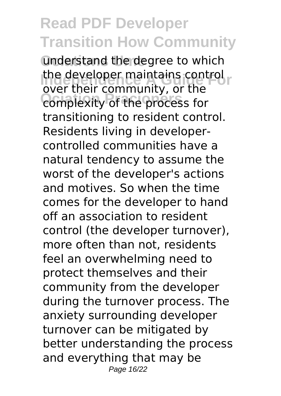**Understand the degree to which Independence Maintains control**<br>avocation community or the **Ociation Pracioners** complexity of the process for over their community, or the transitioning to resident control. Residents living in developercontrolled communities have a natural tendency to assume the worst of the developer's actions and motives. So when the time comes for the developer to hand off an association to resident control (the developer turnover), more often than not, residents feel an overwhelming need to protect themselves and their community from the developer during the turnover process. The anxiety surrounding developer turnover can be mitigated by better understanding the process and everything that may be Page 16/22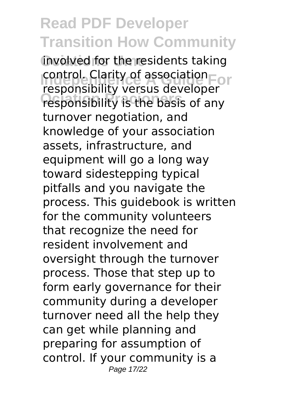**Ociations Ume** involved for the residents taking **Independent Clarity of association Ociation Pracioners** responsibility is the basis of any responsibility versus developer turnover negotiation, and knowledge of your association assets, infrastructure, and equipment will go a long way toward sidestepping typical pitfalls and you navigate the process. This guidebook is written for the community volunteers that recognize the need for resident involvement and oversight through the turnover process. Those that step up to form early governance for their community during a developer turnover need all the help they can get while planning and preparing for assumption of control. If your community is a Page 17/22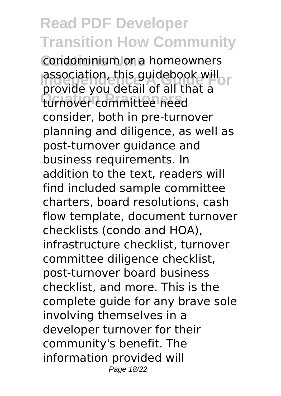Condominium or a homeowners **Independence A Guidebook will**<br>**Independent of all that a Ociation Pracioners** turnover committee need provide you detail of all that a consider, both in pre-turnover planning and diligence, as well as post-turnover guidance and business requirements. In addition to the text, readers will find included sample committee charters, board resolutions, cash flow template, document turnover checklists (condo and HOA), infrastructure checklist, turnover committee diligence checklist, post-turnover board business checklist, and more. This is the complete guide for any brave sole involving themselves in a developer turnover for their community's benefit. The information provided will Page 18/22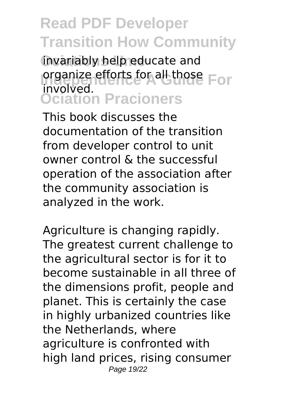**Ociations Ume** invariably help educate and **Involved** efforts for all those For **Ociation Pracioners** involved.

This book discusses the documentation of the transition from developer control to unit owner control & the successful operation of the association after the community association is analyzed in the work.

Agriculture is changing rapidly. The greatest current challenge to the agricultural sector is for it to become sustainable in all three of the dimensions profit, people and planet. This is certainly the case in highly urbanized countries like the Netherlands, where agriculture is confronted with high land prices, rising consumer Page 19/22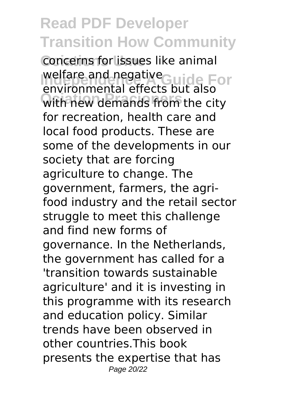**Concerns for issues like animal** welfare and negative<br>
anyiranmental effects but also **Ociation Pracioners** with new demands from the city environmental effects but also for recreation, health care and local food products. These are some of the developments in our society that are forcing agriculture to change. The government, farmers, the agrifood industry and the retail sector struggle to meet this challenge and find new forms of governance. In the Netherlands, the government has called for a 'transition towards sustainable agriculture' and it is investing in this programme with its research and education policy. Similar trends have been observed in other countries.This book presents the expertise that has Page 20/22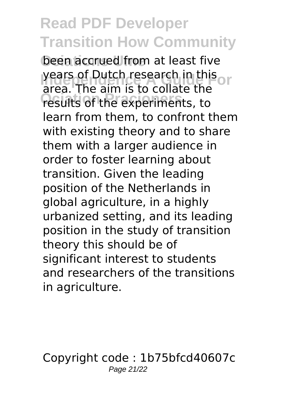**been accrued from at least five Independent Property Presearch in this Ociation Pracioners** results of the experiments, to area. The aim is to collate the learn from them, to confront them with existing theory and to share them with a larger audience in order to foster learning about transition. Given the leading position of the Netherlands in global agriculture, in a highly urbanized setting, and its leading position in the study of transition theory this should be of significant interest to students and researchers of the transitions in agriculture.

Copyright code : 1b75bfcd40607c Page 21/22